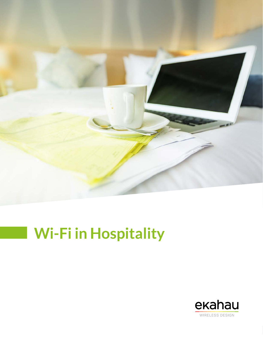

# **Wi-Fi in Hospitality**

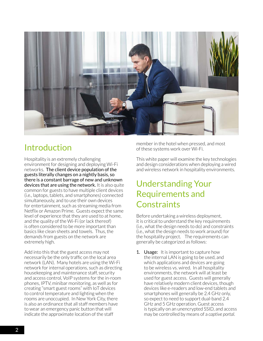

# Introduction

Hospitality is an extremely challenging environment for designing and deploying Wi-Fi networks. The client device population of the guests literally changes on a nightly basis, so there is a constant barrage of new and unknown devices that are using the network. It is also quite common for guests to have multiple client devices (i.e., laptops, tablets, and smartphones) connected simultaneously, and to use their own devices for entertainment, such as streaming media from Netflix or Amazon Prime. Guests expect the same level of experience that they are used to at home, and the quality of the Wi-Fi (or lack thereof) is often considered to be more important than basics like clean sheets and towels. Thus, the demands from guests on the network are extremely high.

Add into this that the guest access may not necessarily be the only traffic on the local area network (LAN). Many hotels are using the Wi-Fi network for internal operations, such as directing housekeeping and maintenance staff, security and access control, VoIP systems for the in-room phones, IPTV, minibar monitoring, as well as for creating "smart guest rooms" with IoT devices to control temperature and lighting when the rooms are unoccupied. In New York City, there is also an ordinance that all staff members have to wear an emergency panic button that will indicate the approximate location of the staff

member in the hotel when pressed, and most of these systems work over Wi-Fi.

This white paper will examine the key technologies and design considerations when deploying a wired and wireless network in hospitality environments.

# Understanding Your Requirements and **Constraints**

Before undertaking a wireless deployment, it is critical to understand the key requirements (i.e., what the design needs to do) and constraints (i.e., what the design needs to work around) for the hospitality project. The requirements can generally be categorized as follows:

**1. Usage:** It is important to capture how the internal LAN is going to be used, and which applications and devices are going to be wireless vs. wired. In all hospitality environments, the network will at least be used for guest access. Guests will generally have relatively modern client devices, though devices like e-readers and low-end tablets and smartphones will generally be 2.4 GHz only, so expect to need to support dual-band 2.4 GHz and 5 GHz operation. Guest access is typically on an unencrypted SSID, and access may be controlled by means of a *captive portal.*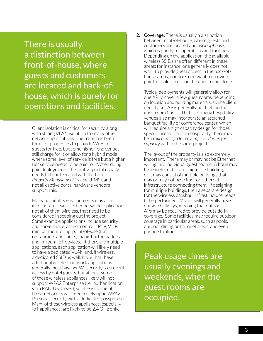There is usually a distinction between front-of-house, where guests and customers are located and back-ofhouse, which is purely for operations and facilities.

Client isolation is critical for security, along with strong VLAN isolation from any other network applications. The trend has been for most properties to provide Wi-Fi to guests for free, but some higher-end venues still charge for it or allow for a hybrid model where some level of service is free but a higher tier service needs to be paid for. When doing paid deployments, the captive portal usually needs to be integrated with the hotel's *Property Management System* (PMS), and not all captive portal hardware vendors support this.

Many hospitality environments may also incorporate several other network applications, not all of them wireless, that need to be considered in scoping out the project. Some example applications include security and surveillance, access control, IPTV, VoIP, minibar monitoring, point-of-sale (for restaurants and shops), panic button badges, and in-room IoT devices. If there are multiple applications, each application will likely need to have a dedicated VLAN and, if wireless, a dedicated SSID as well. Note that these additional wireless network applications generally must have WPA2 security to prevent access by hotel guests, but at least some of these wireless appliances likely will not support WPA2 Enterprise (i.e., authentication via a RADIUS server), so at least some of these networks will need to rely upon WPA2 Personal security with a dedicated passphrase. Many of these wireless appliances, especially IoT appliances, are likely to be 2.4 GHz only.

2. Coverage: There is usually a distinction between front-of-house, where guests and customers are located and *back-of-house,*  which is purely for operations and facilities. Depending on the application, the available wireless SSIDs are often different in these areas; for instance, one generally does not want to provide guest access in the back-ofhouse areas, nor does one want to provide point-of-sale access on the guest room floors.

Typical deployments will generally allow for one AP to cover a few guestrooms, depending on location and building materials, so the client density per AP is generally not high on the guestroom floors. That said, many hospitality venues also may incorporate an attached banquet facility or conference center, which will require a high capacity design for those specific areas. Thus, in hospitality, there may be a mix of *design for coverage vs. design for capacity* within the same project.

The layout of the property is also extremely important. There may or may not be Ethernet wiring into individual guest rooms. A hotel may be a single mid-rise or high-rise building, or it may consist of multiple buildings that may or may not have fiber or Ethernet infrastructure connecting them. If designing for multiple buildings, then a separate design for the wireless backhaul infrastructure needs to be performed. Motels will generally have outside hallways, meaning that outdoor APs may be required to provide outside-in coverage. Some facilities may require outdoor coverage in particular areas, such as pools, outdoor dining or banquet areas, and even parking facilities.

Peak usage times are usually evenings and weekends, when the guest rooms are occupied.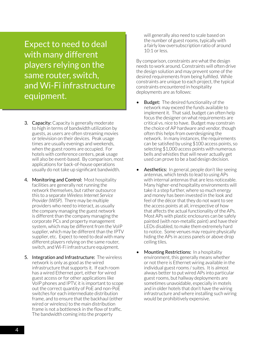Expect to need to deal with many different players relying on the same router, switch, and Wi-Fi infrastructure equipment.

- 3. Capacity: Capacity is generally moderate to high in terms of bandwidth utilization by guests, as users are often streaming movies or television on their devices. Peak usage times are usually evenings and weekends, when the guest rooms are occupied. For hotels with conference centers, peak usage will also be event-based. By comparison, most applications for back-of-house operations usually do not take up significant bandwidth.
- 4. Monitoring and Control: Most hospitality facilities are generally not running the network themselves, but rather outsource this to a separate *Wireless Internet Service Provider (WISP).* There may be multiple providers who need to interact, as usually the company managing the guest network is different than the company managing the corporate PCs and property management system, which may be different from the VoIP supplier, which may be different than the IPTV supplier, etc. Expect to need to deal with many different players relying on the same router, switch, and Wi-Fi infrastructure equipment.
- 5. Integration and Infrastructure: The wireless network is only as good as the wired infrastructure that supports it. If each room has a wired Ethernet port, either for wired guest access or for other applications like VoIP phones and IPTV, it is important to scope out the correct quantity of PoE and non-PoE switches for each intermediate distribution frame, and to ensure that the backhaul (either wired or wireless) to the main distribution frame is not a bottleneck in the flow of traffic. The bandwidth coming into the property

will generally also need to scale based on the number of guest rooms, typically with a fairly low oversubscription ratio of around 10:1 or less.

By comparison, constraints are what the design needs to work around. Constraints will often drive the design solution and may prevent some of the desired requirements from being fulfilled. While constraints are unique to each project, the typical constraints encountered in hospitality deployments are as follows:

- **Budget:** The desired functionality of the network may exceed the funds available to implement it. That said, budget can often help focus the designer on what requirements are critical vs. nice to have. Budget may constrain the choice of AP hardware and vendor, though often this helps from overdesigning the network. In many instances, the requirements can be satisfied by using \$100 access points, so selecting \$1,000 access points with numerous bells and whistles that will never actually get used can prove to be a bad design decision.
- Aesthetics: In general, people don't like seeing antennas, which tends to lead to using APs with internal antennas that are less noticeable. Many higher-end hospitality environments will take it a step further, where so much energy and money has been invested in the look and feel of the décor that they do not want to see the access points at all, irrespective of how that affects the actual functionality of the APs. Most APs with plastic enclosures can be safely painted (with non-metallic paint) and have their LEDs disabled, to make them extremely hard to notice. Some venues may require physically hiding the APs in access panels or above drop ceiling tiles.
- **Mounting Restrictions:** In a hospitality environment, this generally means whether or not there is Ethernet wiring available in the individual guest rooms / suites. It is almost always better to put wired APs into particular guest rooms, but hallway deployments are sometimes unavoidable, especially in motels and in older hotels that don't have the wiring infrastructure and where installing such wiring would be prohibitively expensive.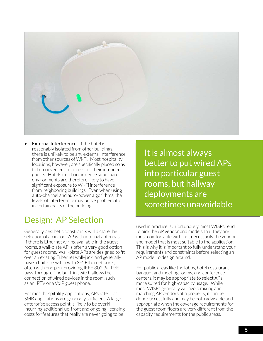

**External Interference:** If the hotel is reasonably isolated from other buildings, there is unlikely to be any external interference from other sources of Wi-Fi. Most hospitality locations, however, are specifically placed so as to be convenient to access for their intended guests. Hotels in urban or dense suburban environments are therefore likely to have significant exposure to Wi-Fi interference from neighboring buildings. Even when using auto-channel and auto-power algorithms, the levels of interference may prove problematic in certain parts of the building.

## Design: AP Selection

Generally, aesthetic constraints will dictate the selection of an indoor AP with internal antennas. If there is Ethernet wiring available in the guest rooms, a wall-plate AP is often a very good option for guest rooms. Wall-plate APs are designed to fit over an existing Ethernet wall-jack, and generally have a built-in switch with 3-4 Ethernet ports, often with one port providing IEEE 802.3af PoE pass-through. The built-in switch allows the connection of wired devices in the room, such as an IPTV or a VoIP guest phone.

For most hospitality applications, APs rated for SMB applications are generally sufficient. A large enterprise access point is likely to be overkill, incurring additional up-front and ongoing licensing costs for features that really are never going to be

It is almost always better to put wired APs into particular guest rooms, but hallway deployments are sometimes unavoidable

used in practice. Unfortunately, most WISPs tend to pick the AP vendor and models that they are most comfortable with, not necessarily the vendor and model that is most suitable to the application. This is why it is important to fully understand your requirements and constraints before selecting an AP model to design around.

For public areas like the lobby, hotel restaurant, banquet and meeting rooms, and conference centers, it may be appropriate to select APs more suited for high-capacity usage. While most WISPs generally will avoid mixing and matching AP vendors at a property, it can be done successfully and may be both advisable and appropriate when the coverage requirements for the guest room floors are very different from the capacity requirements for the public areas.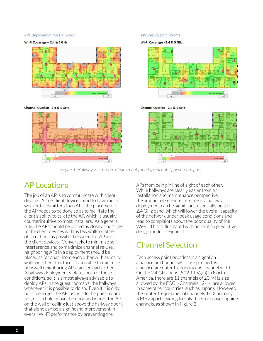### APs Deployed in the Hallways

### Wi-Fi Coverage - 2.4 & 5 GHz



#### Channel Overlap - 2.4 & 5 GHz



#### APs Deployed in Rooms

Wi-Fi Coverage - 2.4 & 5 GHz



Channel Overlap - 2.4 & 5 GHz



*Figure 1: Hallway vs. in-room deployment for a typical hotel guest room floor.*

### AP Locations

The job of an AP is to communicate with client devices. Since client devices tend to have much weaker transmitters than APs, the placement of the AP needs to be done so as to facilitate the client's ability to talk to the AP, which is usually counterintuitive to most installers. As a general rule, the APs should be placed as close as possible to the client devices with as few walls or other obstructions as possible between the AP and the client devices. Conversely, to minimize selfinterference and to maximize channel re-use, neighboring APs in a deployment should be placed as far apart from each other with as many walls or other structures as possible to minimize how well neighboring APs can see each other. A hallway deployment violates both of these conditions, so it is almost always advisable to deploy APs in the guest rooms vs. the hallways whenever it is possible to do so. Even if it is only possible to get the AP just inside the guest room (i.e., drill a hole above the door and mount the AP on the wall or ceiling just above the hallway door), that alone can be a significant improvement in overall Wi-Fi performance by preventing the

APs from being in line of sight of each other. While hallways are clearly easier from an installation and maintenance perspective, the amount of self-interference in a hallway deployment can be significant, especially on the 2.4 GHz band, which will lower the overall capacity of the network under peak usage conditions and lead to complaints about the poor quality of the Wi-Fi. This is illustrated with an Ekahau predictive design model in Figure 1.

### Channel Selection

Each access point broadcasts a signal on a particular channel, which is specified as a particular center frequency and channel width. On the 2.4 GHz band (802.11b/g/n) in North America, there are 11 channels of 20 MHz size allowed by the FCC. (Channels 12-14 are allowed in some other countries, such as Japan). However, the center frequencies of channels 1-13 are only 5 MHz apart, leading to only three non-overlapping channels, as shown in Figure 2.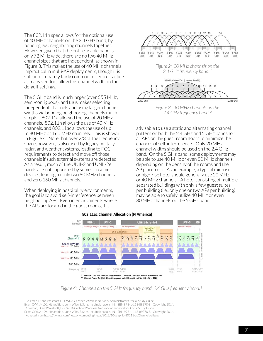The 802.11n spec allows for the optional use of 40 MHz channels on the 2.4 GHz band, by bonding two neighboring channels together. However, given that the entire usable band is only 72 MHz wide, there are no two 40 MHz channel sizes that are independent, as shown in Figure 3. This makes the use of 40 MHz channels impractical in multi-AP deployments, though it is still unfortunately fairly common to see in practice as many vendors allow this channel width in their default settings.

The 5 GHz band is much larger (over 555 MHz, semi-contiguous), and thus makes selecting independent channels and using larger channel widths via bonding neighboring channels much simpler. 802.11a allowed the use of 20 MHz channels. 802.11n allows the use of 40 MHz channels, and 802.11ac allows the use of up to 80 MHz or 160 MHz channels. This is shown in Figure 4. Note that over 2/3 of the frequency space, however, is also used by legacy military, radar, and weather systems, leading to FCC requirements to detect and move off those channels if such external systems are detected. As a result, much of the UNII-2 and UNII-2e bands are not supported by some consumer devices, leading to only two 80 MHz channels and zero 160 MHz channels.

When deploying in hospitality environments, the goal is to avoid self-interference between neighboring APs. Even in environments where the APs are located in the guest rooms, it is



*Figure 2: 20 MHz channels on the 2.4 GHz frequency band. 1*



*2.4 GHz frequency band. 2*

advisable to use a static and alternating channel pattern on both the 2.4 GHz and 5 GHz bands for all APs on the guest room floors to minimize the chances of self-interference. Only 20 MHz channel widths should be used on the 2.4 GHz band. On the 5 GHz band, some deployments may be able to use 40 MHz or even 80 MHz channels, depending on the density of the rooms and the AP placement. As an example, a typical mid-rise or high-rise hotel should generally use 20 MHz or 40 MHz channels. A hotel consisting of multiple separated buildings with only a few guest suites per building (i.e., only one or two APs per building) may be able to safely utilize 40 MHz or even 80 MHz channels on the 5 GHz band.



#### 802.11ac Channel Allocation (N America)

<sup>1</sup>Coleman, D. and Westcott, D. CWNA Certified Wireless Network Administrator Official Study Guide: Exam CWNA-106. 4th edition. John Wiley & Sons, Inc., Indianapolis, IN. ISBN 978-1-118-89370-8. Copyright 2014. <sup>2</sup> Coleman, D. and Westcott, D. CWNA Certified Wireless Network Administrator Official Study Guide: Exam CWNA-106. 4th edition. John Wiley & Sons, Inc., Indianapolis, IN. ISBN 978-1-118-89370-8. Copyright 2014. <sup>3</sup> Adapted from <https://twimgs.com/networkcomputing/news/2013/10/graphic-80211-acChannels-all.png>

*Figure 4: Channels on the 5 GHz frequency band. 2.4 GHz frequency band. 3*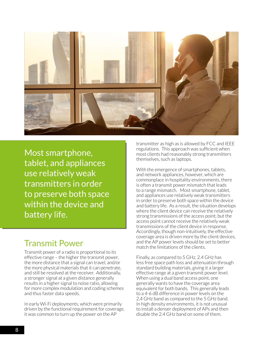

Most smartphone, tablet, and appliances use relatively weak transmitters in order to preserve both space within the device and battery life.

### Transmit Power

Transmit power of a radio is proportional to its effective range – the higher the transmit power, the more distance that a signal can travel, and/or the more physical materials that it can penetrate, and still be resolved at the receiver. Additionally, a stronger signal at a given distance generally results in a higher signal to noise ratio, allowing for more complex modulation and coding schemes and thus faster data speeds.

In early Wi-Fi deployments, which were primarily driven by the functional requirement for coverage, it was common to turn up the power on the AP

transmitter as high as is allowed by FCC and IEEE regulations. This approach was sufficient when most clients had reasonably strong transmitters themselves, such as laptops.

With the emergence of smartphones, tablets, and network appliances, however, which are commonplace in hospitality environments, there is often a transmit power mismatch that leads to a range mismatch. Most smartphone, tablet, and appliances use relatively weak transmitters in order to preserve both space within the device and battery life. As a result, the situation develops where the client device can receive the relatively strong transmissions of the access point, but the access point cannot receive the relatively weak transmissions of the client device in response. Accordingly, though non-intuitively, the effective coverage area is driven more by the client devices, and the AP power levels should be set to better match the limitations of the clients.

Finally, as compared to 5 GHz, 2.4 GHz has less free space path loss and attenuation through standard building materials, giving it a larger effective range at a given transmit power level. When using a dual band access point, one generally wants to have the coverage area equivalent for both bands. This generally leads to a 4-6 dB difference in power levels on the 2.4 GHz band as compared to the 5 GHz band. In high density environments, it is not unusual to install a denser deployment of APs and then disable the 2.4 GHz band on some of them.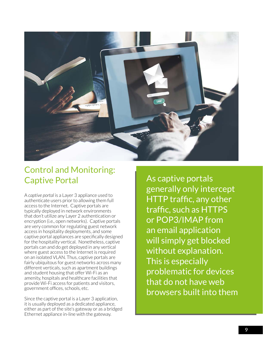

# Control and Monitoring: Captive Portal

A *captive portal* is a Layer 3 appliance used to authenticate users prior to allowing them full access to the Internet. Captive portals are typically deployed in network environments that don't utilize any Layer 2 authentication or encryption (i.e., open networks). Captive portals are very common for regulating guest network access in hospitality deployments, and some captive portal appliances are specifically designed for the hospitality vertical. Nonetheless, captive portals can and do get deployed in any vertical where guest access to the Internet is required on an isolated VLAN. Thus, captive portals are fairly ubiquitous for guest networks across many different verticals, such as apartment buildings and student housing that offer Wi-Fi as an amenity, hospitals and healthcare facilities that provide Wi-Fi access for patients and visitors, government offices, schools, etc.

Since the captive portal is a Layer 3 application, it is usually deployed as a dedicated appliance, either as part of the site's gateway or as a bridged Ethernet appliance in-line with the gateway.

As captive portals generally only intercept HTTP traffic, any other traffic, such as HTTPS or POP3/IMAP from an email application will simply get blocked without explanation. This is especially problematic for devices that do not have web browsers built into them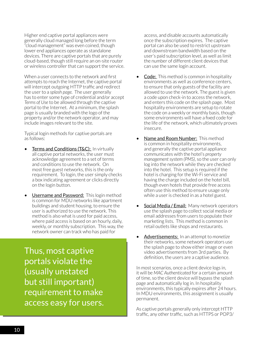Higher end captive portal appliances were generally cloud managed long before the term "cloud management" was even coined, though lower end appliances operate as standalone devices. There are captive portals that are purely cloud-based, though still require an on-site router or wireless controller that can support the service.

When a user connects to the network and first attempts to reach the Internet, the captive portal will intercept outgoing HTTP traffic and redirect the user to a *splash page.* The user generally has to enter some type of credential and/or accept *Terms of Use* to be allowed through the captive portal to the Internet. At a minimum, the splash page is usually branded with the logo of the property and/or the network operator, and may include images relevant to the site.

Typical login methods for captive portals are as follows:

- Terms and Conditions (T&C): In virtually all captive portal networks, the user must acknowledge agreement to a set of terms and conditions to use the network. On most free guest networks, this is the only requirement. To login, the user simply checks a box indicating agreement or clicks directly on the login button.
- **Username and Password:** This login method is common for MDU networks like apartment buildings and student housing, to ensure the user is authorized to use the network. This method is also what is used for paid access, where paid access is based on an hourly, daily, weekly, or monthly subscription. This way, the network owner can track who has paid for

Thus, most captive portals violate the (usually unstated but still important) requirement to make access easy for users.

access, and disable accounts automatically once the subscription expires. The captive portal can also be used to restrict upstream and downstream bandwidth based on the user's paid subscription level, as well as limit the number of different client devices that can use the same login account.

- **Code:** This method is common in hospitality environments as well as conference centers, to ensure that only guests of the facility are allowed to use the network. The guest is given a code upon check-in to access the network, and enters this code on the splash page. Most hospitality environments are setup to rotate the code on a weekly or monthly basis, though some environments will have a fixed code for the life of the network, which ultimately proves insecure.
- Name and Room Number: This method is common in hospitality environments, and generally the captive portal appliance communicates with the hotel's *property management system (PMS)*, so the user can only log into the network while they are checked into the hotel. This setup is required if the hotel is charging for the Wi-Fi service and having the charge included on the hotel bill, though even hotels that provide free access often use this method to ensure usage only while a user is checked in as a hotel guest.
- Social Media / Email: Many network operators use the splash page to collect social media or email addresses from users to populate their marketing lists. This method is common in retail outlets like shops and restaurants.
- Advertisements: In an attempt to *monetize* their networks, some network operators use the splash page to show either image or even video advertisements from 3rd parties. By definition, the users are a captive audience.

In most scenarios, once a client device logs in, it will be *MAC Authenticated* for a certain amount of time, so the client device will bypass the splash page and automatically log in. In hospitality environments, this typically expires after 24 hours. In MDU environments, this assignment is usually permanent.

As captive portals generally only intercept HTTP traffic, any other traffic, such as HTTPS or POP3/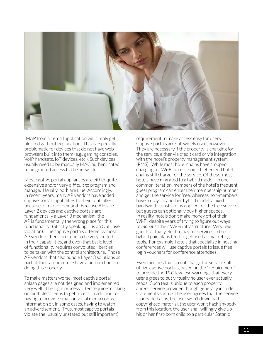

IMAP from an email application will simply get blocked without explanation. This is especially problematic for devices that do not have web browsers built into them (e.g., gaming consoles, VoIP handsets, IoT devices, etc.). Such devices usually need to be manually MAC authenticated to be granted access to the network.

Most captive portal appliances are either quite expensive and/or very difficult to program and manage. Usually, both are true. Accordingly, in recent years, many AP vendors have added captive portal capabilities to their controllers because of market demand. Because APs are Layer 2 devices and captive portals are fundamentally a Layer 3 mechanism, the AP is fundamentally the wrong place for this functionality. (Strictly speaking, it is an OSI Layer violation). The captive portals offered by most AP vendors therefore tend to be very limited in their capabilities, and even that basic level of functionality requires convoluted liberties to be taken with the control architecture. Those AP vendors that also bundle Layer 3 solutions as part of their architecture have a better chance of doing this properly.

To make matters worse, most captive portal splash pages are not designed and implemented very well. The login process often requires clicking on multiple screens to get access, in addition to having to provide email or social media contact information or, in some cases, having to watch an advertisement. Thus, most captive portals violate the (usually unstated but still important)

requirement to make access easy for users. Captive portals are still widely used, however. They are necessary if the property is charging for the service, either via credit card or via integration with the hotel's property management system (PMS). While most hotel chains have stopped charging for Wi-Fi access, some higher-end hotel chains still charge for the service. Of these, most hotels have migrated to a hybrid model. In one common iteration, members of the hotel's frequent guest program can enter their membership number and get the service for free, whereas non-members have to pay. In another hybrid model, a fixed bandwidth constraint is applied for the free service, but guests can optionally buy higher speeds. In reality, hotels don't make money off of their Wi-Fi, despite years of trying to figure out ways to *monetize* their Wi-Fi infrastructure. Very few guests actually elect to pay for service, so the hybrid paid plans tend to get used as marketing tools. For example, hotels that specialize in hosting conferences will use captive portals to issue free login vouchers for conference attendees.

Even facilities that do not charge for service still utilize captive portals, based on the "requirement" to provide the T&C legalese warnings that every user agrees to but virtually no user ever actually reads. Such text is unique to each property and/or service provider, though generally include statements such as the user agrees that the service is provided as-is, the user won't download copyrighted material, the user won't hack anybody from this location, the user shall willingly give up his or her first-born child to a particular Satanic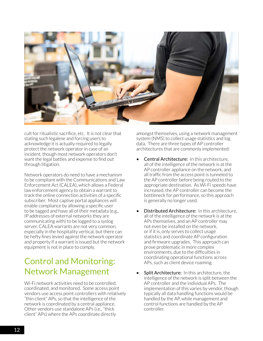

cult for ritualistic sacrifice, etc. It is not clear that stating such legalese and forcing users to acknowledge it is actually required to legally protect the network operator in case of an incident, though most network operators don't want the legal battles and expense to find out through litigation.

Network operators do need to have a mechanism to be compliant with the Communications and Law Enforcement Act (CALEA), which allows a Federal law enforcement agency to obtain a warrant to track the online connection activities of a specific subscriber. Most captive portal appliances will enable compliance by allowing a specific user to be tagged and have all of their metadata (e.g., IP addresses of external networks they are communicating with) to be logged to a syslog server. CALEA warrants are not very common. especially in the hospitality vertical, but there can be hefty fines levied against the network operator and property if a warrant is issued but the network equipment is not in place to comply.

# Control and Monitoring: Network Management

Wi-Fi network activities need to be controlled coordinated, and monitored. Some access point vendors use access point controllers with relatively "thin client" APs, so that the intelligence of the network is coordinated by a central appliance. Other vendors use standalone APs (i.e., "thick client" APs) where the APs coordinate directly

amongst themselves, using a network management system (NMS) to collect usage statistics and log data. There are three types of AP controller architectures that are commonly implemented:

- Central Architecture: In this architecture, all of the intelligence of the network is at the AP controller appliance on the network, and all traffic from the access point is tunneled to the AP controller before being routed to the appropriate destination. As Wi-Fi speeds have increased, the AP controller can become the bottleneck for performance, so this approach is generally no longer used.
- Distributed Architecture: In this architecture, all of the intelligence of the network is at the APs themselves, and an AP controller may not even be installed on the network, or if it is, only serves to collect usage statistics and coordinate AP configuration and firmware upgrades. This approach can prove problematic in more complex environments, due to the difficulties in coordinating operational functions across APs, such as client device roaming.
- Split Architecture: In this architecture, the intelligence of the network is split between the AP controller and the individual APs. The implementation of this varies by vendor, though typically all data handling functions would be handled by the AP, while management and control functions are handled by the AP controller.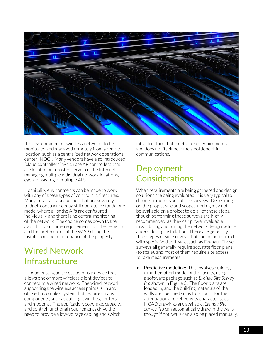

It is also common for wireless networks to be monitored and managed remotely from a remote location, such as a centralized network operations center (NOC). Many vendors have also introduced "cloud controllers," which are AP controllers that are located on a hosted server on the Internet, managing multiple individual network locations, each consisting of multiple APs.

Hospitality environments can be made to work with any of these types of control architectures. Many hospitality properties that are severely budget-constrained may still operate in standalone mode, where all of the APs are configured individually and there is no central monitoring of the network. The choice comes down to the availability / uptime requirements for the network and the preferences of the WISP doing the installation and maintenance of the property.

# Wired Network Infrastructure

Fundamentally, an access point is a device that allows one or more wireless client devices to connect to a wired network. The wired network supporting the wireless access points is, in and of itself, a complex system that requires many components, such as cabling, switches, routers, and modems. The application, coverage, capacity, and control functional requirements drive the need to provide a low-voltage cabling and switch

infrastructure that meets these requirements and does not itself become a bottleneck in communications.

# Deployment Considerations

When requirements are being gathered and design solutions are being evaluated, it is very typical to do one or more types of site surveys. Depending on the project size and scope, funding may not be available on a project to do all of these steps, though performing these surveys are highly recommended, as they can prove invaluable in validating and tuning the network design before and/or during installation. There are generally three types of site surveys that can be performed with specialized software, such as Ekahau. These surveys all generally require accurate floor plans (to scale), and most of them require site access to take measurements.

Predictive modeling: This involves building a mathematical model of the facility, using a software package such as *Ekahau Site Survey Pro* shown in Figure 5. The floor plans are loaded in, and the building materials of the walls are specified so as to account for their attenuation and reflectivity characteristics. If CAD drawings are available, *Ekahau Site Survey Pro* can automatically draw in the walls, though if not, walls can also be placed manually.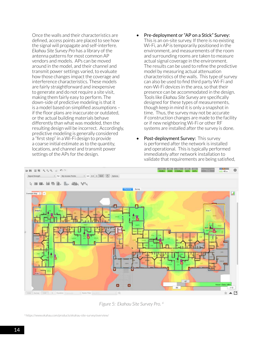Once the walls and their characteristics are defined, access points are placed to see how the signal will propagate and self-interfere. *Ekahau Site Survey Pro* has a library of the antenna patterns for most common AP vendors and models. APs can be moved around in the model, and their channel and transmit power settings varied, to evaluate how those changes impact the coverage and interference characteristics. These models are fairly straightforward and inexpensive to generate and do not require a site visit, making them fairly easy to perform. The down-side of predictive modeling is that it is a model based on simplified assumptions – if the floor plans are inaccurate or outdated, or the actual building materials behave differently than what was modeled, then the resulting design will be incorrect. Accordingly, predictive modeling is generally considered a "first step" in a Wi-Fi design to provide a coarse initial estimate as to the quantity, locations, and channel and transmit power settings of the APs for the design.

- Pre-deployment or "AP on a Stick" Survey: This is an on-site survey. If there is no existing Wi-Fi, an AP is temporarily positioned in the environment, and measurements of the room and surrounding rooms are taken to measure actual signal coverage in the environment. The results can be used to refine the predictive model by measuring actual attenuation characteristics of the walls. This type of survey can also be used to find third party Wi-Fi and non-Wi-Fi devices in the area, so that their presence can be accommodated in the design. Tools like *Ekahau Site Survey* are specifically designed for these types of measurements, though keep in mind it is only a snapshot in time. Thus, the survey may not be accurate if construction changes are made to the facility or if new neighboring Wi-Fi or other RF systems are installed after the survey is done.
- Post-deployment Survey: This survey is performed after the network is installed and operational. This is typically performed immediately after network installation to validate that requirements are being satisfied,



*Figure 5: Ekahau Site Survey Pro. 4*

4 https://www.ekahau.com/products/ekahau-site-survey/overview/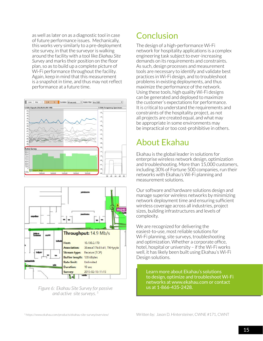as well as later on as a diagnostic tool in case of future performance issues. Mechanically, this works very similarly to a pre-deployment site survey, in that the surveyor is walking around the facility with a tool like *Ekahau Site Survey* and marks their position on the floor plan, so as to build up a complete picture of Wi-Fi performance throughout the facility. Again, keep in mind that this measurement is a snapshot in time, and thus may not reflect performance at a future time.





*Figure 6: Ekahau Site Survey for passive and active site surveys. 5*

# Conclusion

The design of a high-performance Wi-Fi network for hospitality applications is a complex engineering task subject to ever-increasing demands on its requirements and constraints. As such, design processes and measurement tools are necessary to identify and validate best practices in Wi-Fi design, and to troubleshoot problems in existing deployments, and thus maximize the performance of the network. Using these tools, high quality Wi-Fi designs can be generated and deployed to maximize the customer's expectations for performance. It is critical to understand the requirements and constraints of the hospitality project, as not all projects are created equal, and what may be appropriate in some environments may be impractical or too cost-prohibitive in others.

# About Ekahau

Ekahau is the global leader in solutions for enterprise wireless network design, optimization and troubleshooting. More than 15,000 customers, including 30% of Fortune 500 companies, run their networks with Ekahau's Wi-Fi planning and measurement solutions.

Our software and hardware solutions design and manage superior wireless networks by minimizing network deployment time and ensuring sufficient wireless coverage across all industries, project sizes, building infrastructures and levels of complexity.

We are recognized for delivering the easiest-to-use, most reliable solutions for Wi-Fi planning, site surveys, troubleshooting and optimization. Whether a corporate office, hotel, hospital or university – if the Wi-Fi works well, it has likely been built using Ekahau's Wi-Fi Design solutions.

> Learn more about Ekahau's solutions to design, optimize and troubleshoot Wi-Fi networks at www.ekahau.com or contact us at 1-866-435-2428.